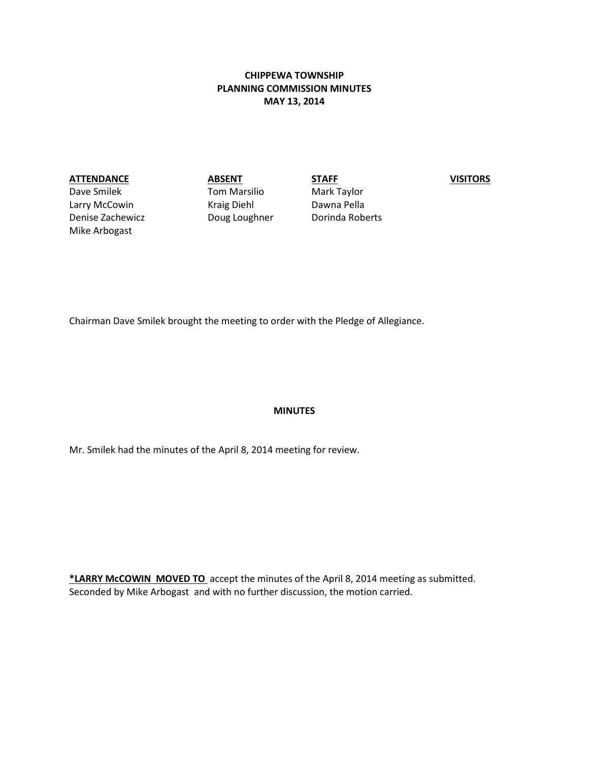# **CHIPPEWA TOWNSHIP PLANNING COMMISSION MINUTES MAY 13, 2014**

#### **ATTENDANCE ABSENT STAFF VISITORS**

Dave Smilek Tom Marsilio Mark Taylor Larry McCowin **Kraig Diehl** Dawna Pella Denise Zachewicz **Doug Loughner** Dorinda Roberts Mike Arbogast

Chairman Dave Smilek brought the meeting to order with the Pledge of Allegiance.

#### **MINUTES**

Mr. Smilek had the minutes of the April 8, 2014 meeting for review.

**\*LARRY McCOWIN MOVED TO** accept the minutes of the April 8, 2014 meeting as submitted. Seconded by Mike Arbogast and with no further discussion, the motion carried.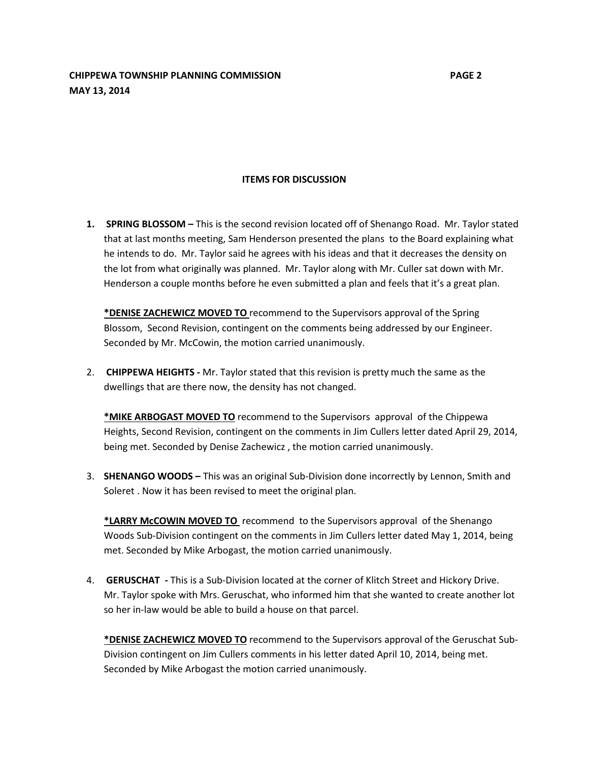#### **ITEMS FOR DISCUSSION**

**1. SPRING BLOSSOM –** This is the second revision located off of Shenango Road. Mr. Taylor stated that at last months meeting, Sam Henderson presented the plans to the Board explaining what he intends to do. Mr. Taylor said he agrees with his ideas and that it decreases the density on the lot from what originally was planned. Mr. Taylor along with Mr. Culler sat down with Mr. Henderson a couple months before he even submitted a plan and feels that it's a great plan.

**\*DENISE ZACHEWICZ MOVED TO** recommend to the Supervisors approval of the Spring Blossom, Second Revision, contingent on the comments being addressed by our Engineer. Seconded by Mr. McCowin, the motion carried unanimously.

2. **CHIPPEWA HEIGHTS -** Mr. Taylor stated that this revision is pretty much the same as the dwellings that are there now, the density has not changed.

**\*MIKE ARBOGAST MOVED TO** recommend to the Supervisors approval of the Chippewa Heights, Second Revision, contingent on the comments in Jim Cullers letter dated April 29, 2014, being met. Seconded by Denise Zachewicz , the motion carried unanimously.

3. **SHENANGO WOODS –** This was an original Sub-Division done incorrectly by Lennon, Smith and Soleret . Now it has been revised to meet the original plan.

**\*LARRY McCOWIN MOVED TO** recommend to the Supervisors approval of the Shenango Woods Sub-Division contingent on the comments in Jim Cullers letter dated May 1, 2014, being met. Seconded by Mike Arbogast, the motion carried unanimously.

4. **GERUSCHAT -** This is a Sub-Division located at the corner of Klitch Street and Hickory Drive. Mr. Taylor spoke with Mrs. Geruschat, who informed him that she wanted to create another lot so her in-law would be able to build a house on that parcel.

**\*DENISE ZACHEWICZ MOVED TO** recommend to the Supervisors approval of the Geruschat Sub-Division contingent on Jim Cullers comments in his letter dated April 10, 2014, being met. Seconded by Mike Arbogast the motion carried unanimously.